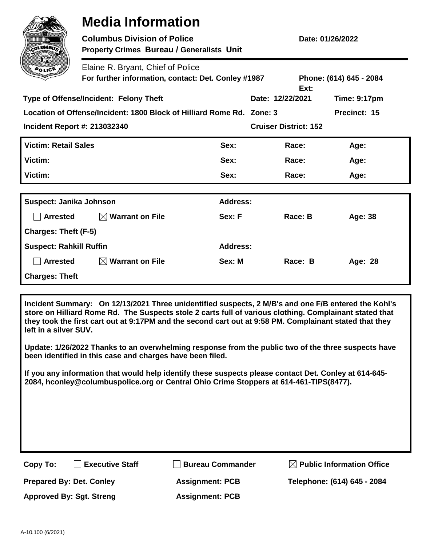|                                                                       | <b>Media Information</b>                                                                 |                 |                                 |                     |  |
|-----------------------------------------------------------------------|------------------------------------------------------------------------------------------|-----------------|---------------------------------|---------------------|--|
| <b>OLUMBUS</b>                                                        | <b>Columbus Division of Police</b><br><b>Property Crimes Bureau / Generalists Unit</b>   |                 | Date: 01/26/2022                |                     |  |
|                                                                       | Elaine R. Bryant, Chief of Police<br>For further information, contact: Det. Conley #1987 |                 | Phone: (614) 645 - 2084<br>Ext: |                     |  |
|                                                                       | Type of Offense/Incident: Felony Theft                                                   |                 | Date: 12/22/2021                | <b>Time: 9:17pm</b> |  |
| Location of Offense/Incident: 1800 Block of Hilliard Rome Rd. Zone: 3 |                                                                                          |                 | Precinct: 15                    |                     |  |
| <b>Incident Report #: 213032340</b>                                   |                                                                                          |                 | <b>Cruiser District: 152</b>    |                     |  |
| <b>Victim: Retail Sales</b>                                           |                                                                                          | Sex:            | Race:                           | Age:                |  |
| Victim:                                                               |                                                                                          | Sex:            | Race:                           | Age:                |  |
| Victim:                                                               |                                                                                          | Sex:            | Race:                           | Age:                |  |
| Suspect: Janika Johnson                                               |                                                                                          | <b>Address:</b> |                                 |                     |  |
| <b>Arrested</b>                                                       | $\boxtimes$ Warrant on File                                                              | Sex: F          | Race: B                         | Age: 38             |  |
| <b>Charges: Theft (F-5)</b>                                           |                                                                                          |                 |                                 |                     |  |
| <b>Suspect: Rahkill Ruffin</b>                                        |                                                                                          | <b>Address:</b> |                                 |                     |  |
| <b>Arrested</b>                                                       | $\boxtimes$ Warrant on File                                                              | Sex: M          | Race: B                         | Age: 28             |  |
| <b>Charges: Theft</b>                                                 |                                                                                          |                 |                                 |                     |  |

**Incident Summary: On 12/13/2021 Three unidentified suspects, 2 M/B's and one F/B entered the Kohl's store on Hilliard Rome Rd. The Suspects stole 2 carts full of various clothing. Complainant stated that they took the first cart out at 9:17PM and the second cart out at 9:58 PM. Complainant stated that they left in a silver SUV.**

**Update: 1/26/2022 Thanks to an overwhelming response from the public two of the three suspects have been identified in this case and charges have been filed.** 

**If you any information that would help identify these suspects please contact Det. Conley at 614-645- 2084, hconley@columbuspolice.org or Central Ohio Crime Stoppers at 614-461-TIPS(8477).**

| <b>Executive Staff</b><br>Copy To: | <b>Bureau Commander</b> | $\boxtimes$ Public Information Office |
|------------------------------------|-------------------------|---------------------------------------|
| <b>Prepared By: Det. Conley</b>    | <b>Assignment: PCB</b>  | Telephone: (614) 645 - 2084           |
| <b>Approved By: Sgt. Streng</b>    | <b>Assignment: PCB</b>  |                                       |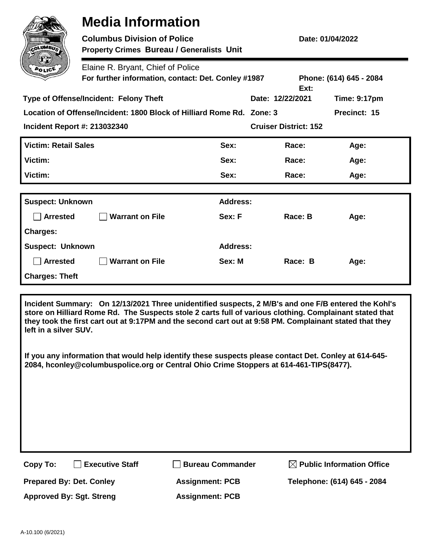|                                                                       | <b>Media Information</b>                                                                 |                 |                                 |                     |  |
|-----------------------------------------------------------------------|------------------------------------------------------------------------------------------|-----------------|---------------------------------|---------------------|--|
| <b>OLUMBUS</b>                                                        | <b>Columbus Division of Police</b><br><b>Property Crimes Bureau / Generalists Unit</b>   |                 | Date: 01/04/2022                |                     |  |
|                                                                       | Elaine R. Bryant, Chief of Police<br>For further information, contact: Det. Conley #1987 |                 | Phone: (614) 645 - 2084<br>Ext: |                     |  |
|                                                                       | Type of Offense/Incident: Felony Theft                                                   |                 | Date: 12/22/2021                | <b>Time: 9:17pm</b> |  |
| Location of Offense/Incident: 1800 Block of Hilliard Rome Rd. Zone: 3 |                                                                                          |                 |                                 | Precinct: 15        |  |
|                                                                       | <b>Incident Report #: 213032340</b>                                                      |                 | <b>Cruiser District: 152</b>    |                     |  |
| <b>Victim: Retail Sales</b>                                           |                                                                                          | Sex:            | Race:                           | Age:                |  |
| Victim:                                                               |                                                                                          | Sex:            | Race:                           | Age:                |  |
| Victim:                                                               |                                                                                          | Sex:            | Race:                           | Age:                |  |
|                                                                       |                                                                                          |                 |                                 |                     |  |
| <b>Suspect: Unknown</b>                                               |                                                                                          | <b>Address:</b> |                                 |                     |  |
| <b>Arrested</b>                                                       | <b>Warrant on File</b>                                                                   | Sex: F          | Race: B                         | Age:                |  |
| <b>Charges:</b>                                                       |                                                                                          |                 |                                 |                     |  |
| <b>Suspect: Unknown</b>                                               |                                                                                          | <b>Address:</b> |                                 |                     |  |
| <b>Arrested</b>                                                       | <b>Warrant on File</b>                                                                   | Sex: M          | Race: B                         | Age:                |  |
| <b>Charges: Theft</b>                                                 |                                                                                          |                 |                                 |                     |  |

**Incident Summary: On 12/13/2021 Three unidentified suspects, 2 M/B's and one F/B entered the Kohl's store on Hilliard Rome Rd. The Suspects stole 2 carts full of various clothing. Complainant stated that they took the first cart out at 9:17PM and the second cart out at 9:58 PM. Complainant stated that they left in a silver SUV.**

**If you any information that would help identify these suspects please contact Det. Conley at 614-645- 2084, hconley@columbuspolice.org or Central Ohio Crime Stoppers at 614-461-TIPS(8477).**

| Copy To: | <b>Executive Staff</b>          | <b>Bureau Commander</b> | $\boxtimes$ Public Information Office |
|----------|---------------------------------|-------------------------|---------------------------------------|
|          | <b>Prepared By: Det. Conley</b> | <b>Assignment: PCB</b>  | Telephone: (614) 645 - 2084           |

**Approved By: Sgt. Streng Assignment: PCB**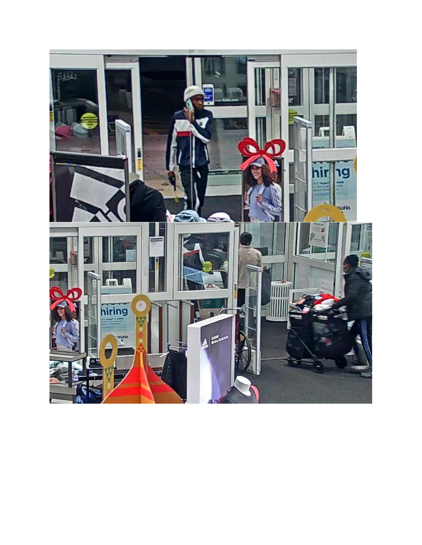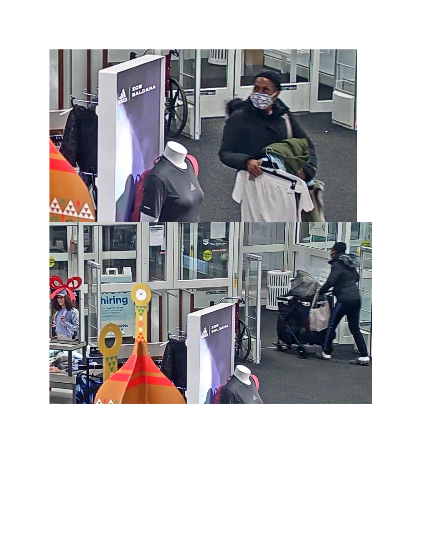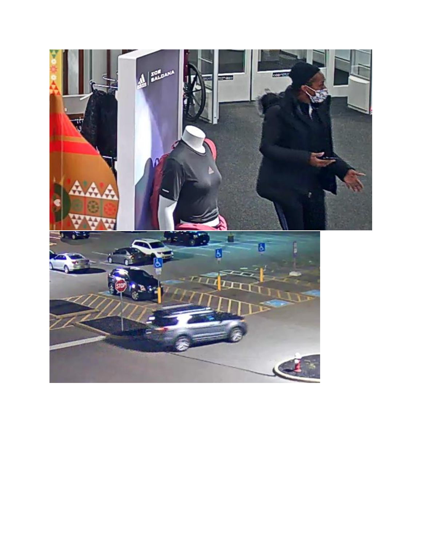